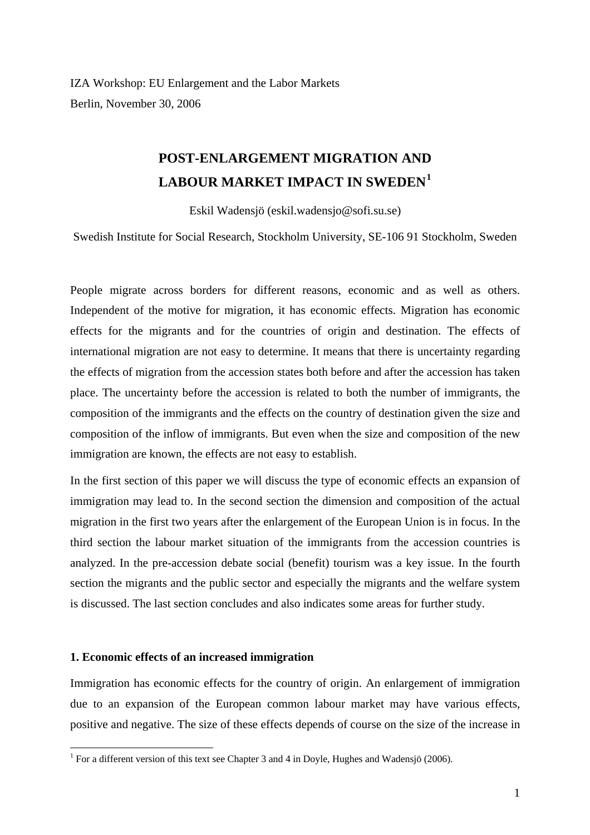IZA Workshop: EU Enlargement and the Labor Markets Berlin, November 30, 2006

# **POST-ENLARGEMENT MIGRATION AND LABOUR MARKET IMPACT IN SWEDEN[1](#page-0-0)**

Eskil Wadensjö (eskil.wadensjo@sofi.su.se)

Swedish Institute for Social Research, Stockholm University, SE-106 91 Stockholm, Sweden

People migrate across borders for different reasons, economic and as well as others. Independent of the motive for migration, it has economic effects. Migration has economic effects for the migrants and for the countries of origin and destination. The effects of international migration are not easy to determine. It means that there is uncertainty regarding the effects of migration from the accession states both before and after the accession has taken place. The uncertainty before the accession is related to both the number of immigrants, the composition of the immigrants and the effects on the country of destination given the size and composition of the inflow of immigrants. But even when the size and composition of the new immigration are known, the effects are not easy to establish.

In the first section of this paper we will discuss the type of economic effects an expansion of immigration may lead to. In the second section the dimension and composition of the actual migration in the first two years after the enlargement of the European Union is in focus. In the third section the labour market situation of the immigrants from the accession countries is analyzed. In the pre-accession debate social (benefit) tourism was a key issue. In the fourth section the migrants and the public sector and especially the migrants and the welfare system is discussed. The last section concludes and also indicates some areas for further study.

## **1. Economic effects of an increased immigration**

Immigration has economic effects for the country of origin. An enlargement of immigration due to an expansion of the European common labour market may have various effects, positive and negative. The size of these effects depends of course on the size of the increase in

<span id="page-0-0"></span><sup>&</sup>lt;sup>1</sup> For a different version of this text see Chapter 3 and 4 in Doyle, Hughes and Wadensjö (2006).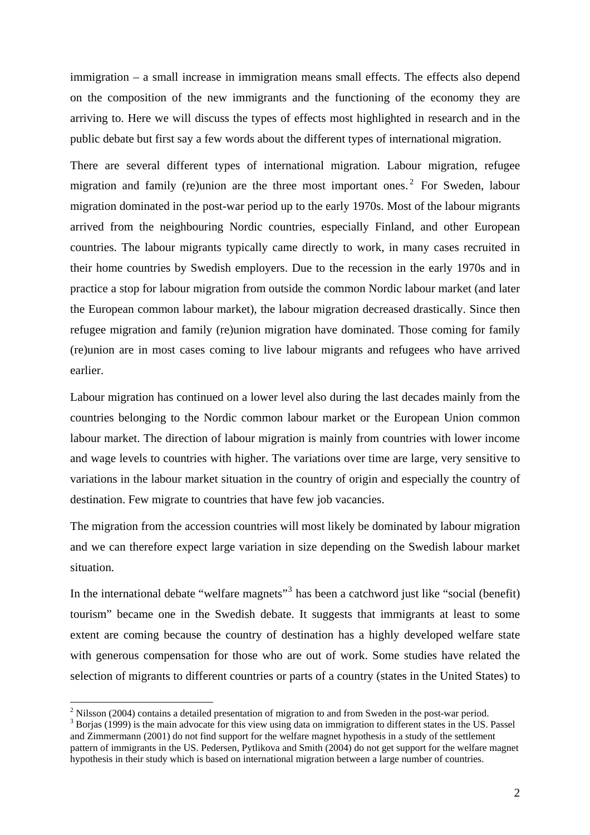immigration – a small increase in immigration means small effects. The effects also depend on the composition of the new immigrants and the functioning of the economy they are arriving to. Here we will discuss the types of effects most highlighted in research and in the public debate but first say a few words about the different types of international migration.

There are several different types of international migration. Labour migration, refugee migration and family (re)union are the three most important ones.<sup>[2](#page-1-0)</sup> For Sweden, labour migration dominated in the post-war period up to the early 1970s. Most of the labour migrants arrived from the neighbouring Nordic countries, especially Finland, and other European countries. The labour migrants typically came directly to work, in many cases recruited in their home countries by Swedish employers. Due to the recession in the early 1970s and in practice a stop for labour migration from outside the common Nordic labour market (and later the European common labour market), the labour migration decreased drastically. Since then refugee migration and family (re)union migration have dominated. Those coming for family (re)union are in most cases coming to live labour migrants and refugees who have arrived earlier.

Labour migration has continued on a lower level also during the last decades mainly from the countries belonging to the Nordic common labour market or the European Union common labour market. The direction of labour migration is mainly from countries with lower income and wage levels to countries with higher. The variations over time are large, very sensitive to variations in the labour market situation in the country of origin and especially the country of destination. Few migrate to countries that have few job vacancies.

The migration from the accession countries will most likely be dominated by labour migration and we can therefore expect large variation in size depending on the Swedish labour market situation.

In the international debate "welfare magnets"<sup>[3](#page-1-1)</sup> has been a catchword just like "social (benefit) tourism" became one in the Swedish debate. It suggests that immigrants at least to some extent are coming because the country of destination has a highly developed welfare state with generous compensation for those who are out of work. Some studies have related the selection of migrants to different countries or parts of a country (states in the United States) to

<span id="page-1-0"></span> $2$  Nilsson (2004) contains a detailed presentation of migration to and from Sweden in the post-war period.

<span id="page-1-1"></span><sup>&</sup>lt;sup>3</sup> Borjas (1999) is the main advocate for this view using data on immigration to different states in the US. Passel and Zimmermann (2001) do not find support for the welfare magnet hypothesis in a study of the settlement pattern of immigrants in the US. Pedersen, Pytlikova and Smith (2004) do not get support for the welfare magnet hypothesis in their study which is based on international migration between a large number of countries.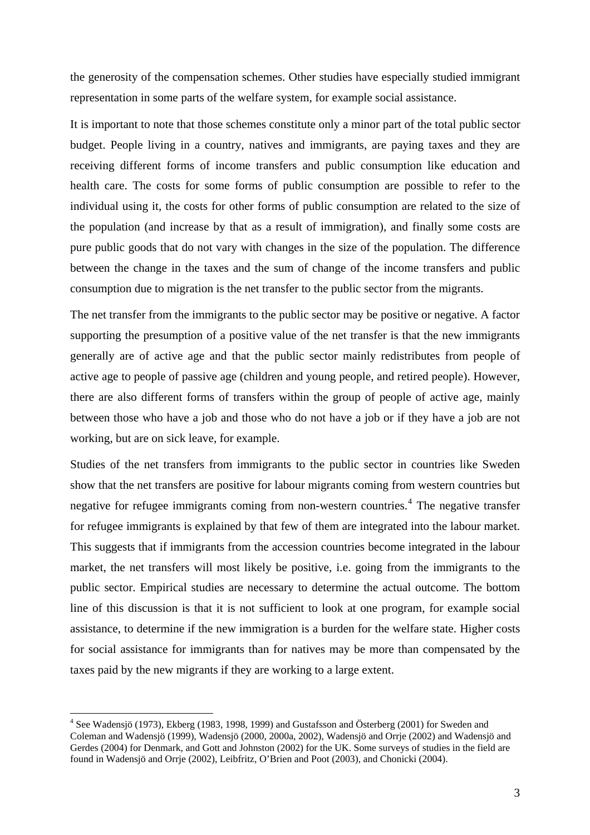the generosity of the compensation schemes. Other studies have especially studied immigrant representation in some parts of the welfare system, for example social assistance.

It is important to note that those schemes constitute only a minor part of the total public sector budget. People living in a country, natives and immigrants, are paying taxes and they are receiving different forms of income transfers and public consumption like education and health care. The costs for some forms of public consumption are possible to refer to the individual using it, the costs for other forms of public consumption are related to the size of the population (and increase by that as a result of immigration), and finally some costs are pure public goods that do not vary with changes in the size of the population. The difference between the change in the taxes and the sum of change of the income transfers and public consumption due to migration is the net transfer to the public sector from the migrants.

The net transfer from the immigrants to the public sector may be positive or negative. A factor supporting the presumption of a positive value of the net transfer is that the new immigrants generally are of active age and that the public sector mainly redistributes from people of active age to people of passive age (children and young people, and retired people). However, there are also different forms of transfers within the group of people of active age, mainly between those who have a job and those who do not have a job or if they have a job are not working, but are on sick leave, for example.

Studies of the net transfers from immigrants to the public sector in countries like Sweden show that the net transfers are positive for labour migrants coming from western countries but negative for refugee immigrants coming from non-western countries.<sup>[4](#page-2-0)</sup> The negative transfer for refugee immigrants is explained by that few of them are integrated into the labour market. This suggests that if immigrants from the accession countries become integrated in the labour market, the net transfers will most likely be positive, i.e. going from the immigrants to the public sector. Empirical studies are necessary to determine the actual outcome. The bottom line of this discussion is that it is not sufficient to look at one program, for example social assistance, to determine if the new immigration is a burden for the welfare state. Higher costs for social assistance for immigrants than for natives may be more than compensated by the taxes paid by the new migrants if they are working to a large extent.

<span id="page-2-0"></span><sup>&</sup>lt;sup>4</sup> See Wadensjö (1973), Ekberg (1983, 1998, 1999) and Gustafsson and Österberg (2001) for Sweden and Coleman and Wadensjö (1999), Wadensjö (2000, 2000a, 2002), Wadensjö and Orrje (2002) and Wadensjö and Gerdes (2004) for Denmark, and Gott and Johnston (2002) for the UK. Some surveys of studies in the field are found in Wadensjö and Orrje (2002), Leibfritz, O'Brien and Poot (2003), and Chonicki (2004).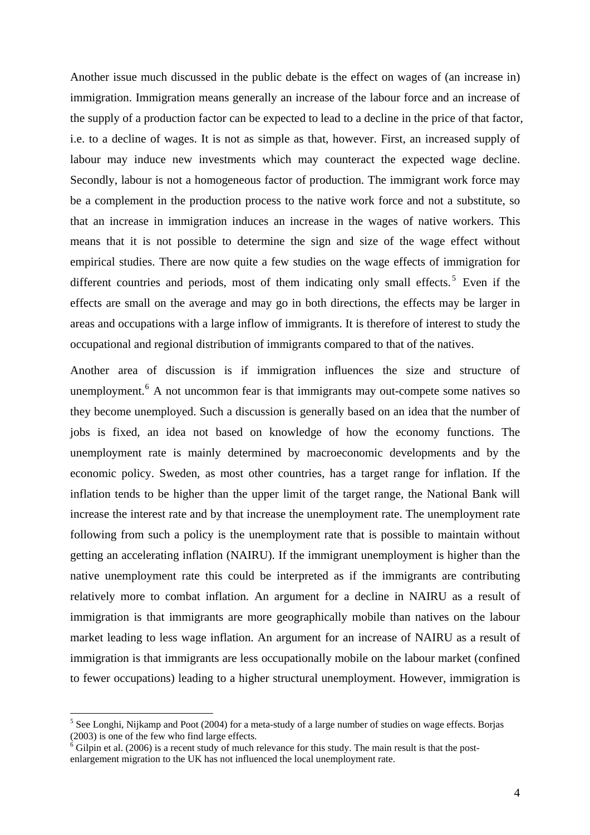Another issue much discussed in the public debate is the effect on wages of (an increase in) immigration. Immigration means generally an increase of the labour force and an increase of the supply of a production factor can be expected to lead to a decline in the price of that factor, i.e. to a decline of wages. It is not as simple as that, however. First, an increased supply of labour may induce new investments which may counteract the expected wage decline. Secondly, labour is not a homogeneous factor of production. The immigrant work force may be a complement in the production process to the native work force and not a substitute, so that an increase in immigration induces an increase in the wages of native workers. This means that it is not possible to determine the sign and size of the wage effect without empirical studies. There are now quite a few studies on the wage effects of immigration for different countries and periods, most of them indicating only small effects.<sup>[5](#page-3-0)</sup> Even if the effects are small on the average and may go in both directions, the effects may be larger in areas and occupations with a large inflow of immigrants. It is therefore of interest to study the occupational and regional distribution of immigrants compared to that of the natives.

Another area of discussion is if immigration influences the size and structure of unemployment.<sup>[6](#page-3-1)</sup> A not uncommon fear is that immigrants may out-compete some natives so they become unemployed. Such a discussion is generally based on an idea that the number of jobs is fixed, an idea not based on knowledge of how the economy functions. The unemployment rate is mainly determined by macroeconomic developments and by the economic policy. Sweden, as most other countries, has a target range for inflation. If the inflation tends to be higher than the upper limit of the target range, the National Bank will increase the interest rate and by that increase the unemployment rate. The unemployment rate following from such a policy is the unemployment rate that is possible to maintain without getting an accelerating inflation (NAIRU). If the immigrant unemployment is higher than the native unemployment rate this could be interpreted as if the immigrants are contributing relatively more to combat inflation. An argument for a decline in NAIRU as a result of immigration is that immigrants are more geographically mobile than natives on the labour market leading to less wage inflation. An argument for an increase of NAIRU as a result of immigration is that immigrants are less occupationally mobile on the labour market (confined to fewer occupations) leading to a higher structural unemployment. However, immigration is

<span id="page-3-0"></span> $<sup>5</sup>$  See Longhi, Nijkamp and Poot (2004) for a meta-study of a large number of studies on wage effects. Borjas</sup> (2003) is one of the few who find large effects.

<span id="page-3-1"></span><sup>&</sup>lt;sup>6</sup> Gilpin et al. (2006) is a recent study of much relevance for this study. The main result is that the postenlargement migration to the UK has not influenced the local unemployment rate.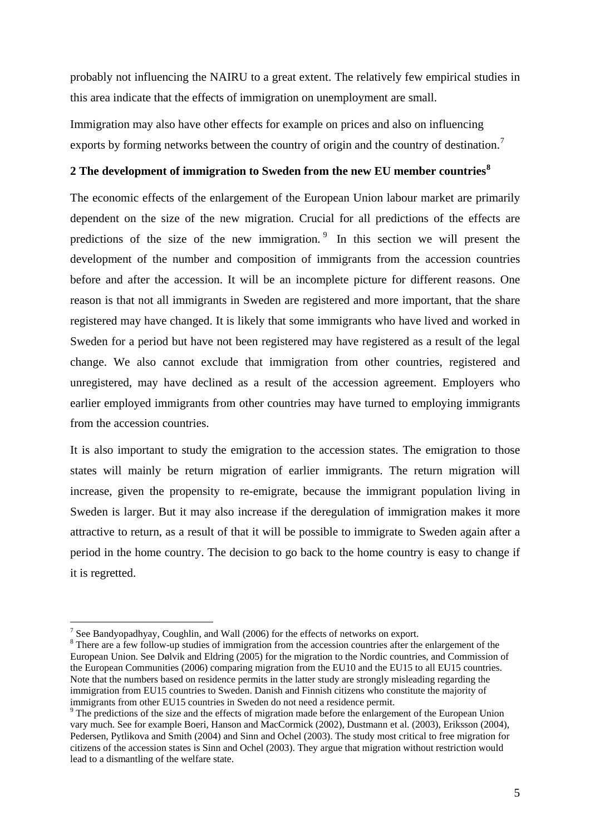probably not influencing the NAIRU to a great extent. The relatively few empirical studies in this area indicate that the effects of immigration on unemployment are small.

Immigration may also have other effects for example on prices and also on influencing exports by forming networks between the country of origin and the country of destination.<sup>[7](#page-4-0)</sup>

# **2 The development of immigration to Sweden from the new EU member countries[8](#page-4-1)**

The economic effects of the enlargement of the European Union labour market are primarily dependent on the size of the new migration. Crucial for all predictions of the effects are predictions of the size of the new immigration. [9](#page-4-2) In this section we will present the development of the number and composition of immigrants from the accession countries before and after the accession. It will be an incomplete picture for different reasons. One reason is that not all immigrants in Sweden are registered and more important, that the share registered may have changed. It is likely that some immigrants who have lived and worked in Sweden for a period but have not been registered may have registered as a result of the legal change. We also cannot exclude that immigration from other countries, registered and unregistered, may have declined as a result of the accession agreement. Employers who earlier employed immigrants from other countries may have turned to employing immigrants from the accession countries.

It is also important to study the emigration to the accession states. The emigration to those states will mainly be return migration of earlier immigrants. The return migration will increase, given the propensity to re-emigrate, because the immigrant population living in Sweden is larger. But it may also increase if the deregulation of immigration makes it more attractive to return, as a result of that it will be possible to immigrate to Sweden again after a period in the home country. The decision to go back to the home country is easy to change if it is regretted.

<span id="page-4-0"></span><sup>&</sup>lt;sup>7</sup> See Bandyopadhyay, Coughlin, and Wall (2006) for the effects of networks on export.

<span id="page-4-1"></span><sup>&</sup>lt;sup>8</sup> There are a few follow-up studies of immigration from the accession countries after the enlargement of the European Union. See Dølvik and Eldring (2005) for the migration to the Nordic countries, and Commission of the European Communities (2006) comparing migration from the EU10 and the EU15 to all EU15 countries. Note that the numbers based on residence permits in the latter study are strongly misleading regarding the immigration from EU15 countries to Sweden. Danish and Finnish citizens who constitute the majority of immigrants from other EU15 countries in Sweden do not need a residence permit.

<span id="page-4-2"></span><sup>&</sup>lt;sup>9</sup> The predictions of the size and the effects of migration made before the enlargement of the European Union vary much. See for example Boeri, Hanson and MacCormick (2002), Dustmann et al. (2003), Eriksson (2004), Pedersen, Pytlikova and Smith (2004) and Sinn and Ochel (2003). The study most critical to free migration for citizens of the accession states is Sinn and Ochel (2003). They argue that migration without restriction would lead to a dismantling of the welfare state.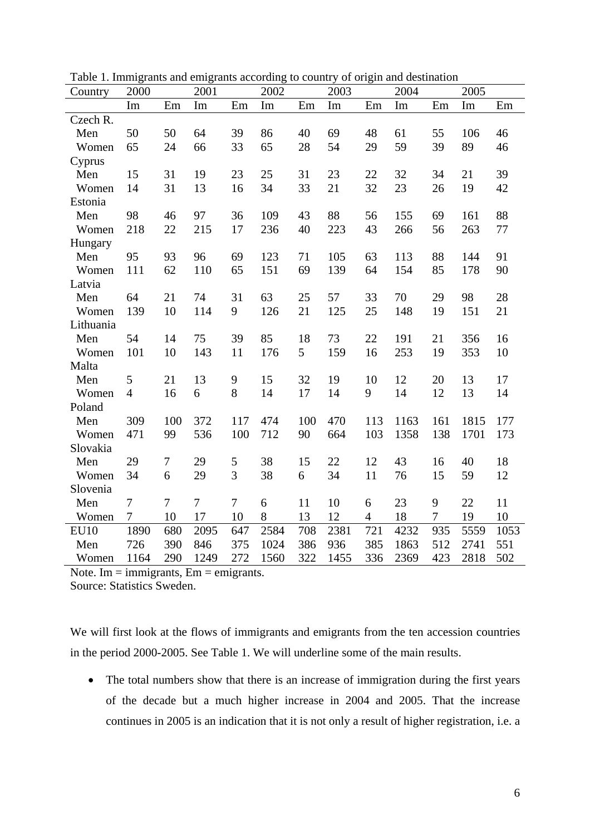| Country     | 2000           |     | 2001           |                | 2002 |     | 2003 |                | 2004 |                | 2005 |      |
|-------------|----------------|-----|----------------|----------------|------|-----|------|----------------|------|----------------|------|------|
|             | Im             | Em  | Im             | Em             | Im   | Em  | Im   | Em             | Im   | Em             | Im   | Em   |
| Czech R.    |                |     |                |                |      |     |      |                |      |                |      |      |
| Men         | 50             | 50  | 64             | 39             | 86   | 40  | 69   | 48             | 61   | 55             | 106  | 46   |
| Women       | 65             | 24  | 66             | 33             | 65   | 28  | 54   | 29             | 59   | 39             | 89   | 46   |
| Cyprus      |                |     |                |                |      |     |      |                |      |                |      |      |
| Men         | 15             | 31  | 19             | 23             | 25   | 31  | 23   | 22             | 32   | 34             | 21   | 39   |
| Women       | 14             | 31  | 13             | 16             | 34   | 33  | 21   | 32             | 23   | 26             | 19   | 42   |
| Estonia     |                |     |                |                |      |     |      |                |      |                |      |      |
| Men         | 98             | 46  | 97             | 36             | 109  | 43  | 88   | 56             | 155  | 69             | 161  | 88   |
| Women       | 218            | 22  | 215            | 17             | 236  | 40  | 223  | 43             | 266  | 56             | 263  | 77   |
| Hungary     |                |     |                |                |      |     |      |                |      |                |      |      |
| Men         | 95             | 93  | 96             | 69             | 123  | 71  | 105  | 63             | 113  | 88             | 144  | 91   |
| Women       | 111            | 62  | 110            | 65             | 151  | 69  | 139  | 64             | 154  | 85             | 178  | 90   |
| Latvia      |                |     |                |                |      |     |      |                |      |                |      |      |
| Men         | 64             | 21  | 74             | 31             | 63   | 25  | 57   | 33             | 70   | 29             | 98   | 28   |
| Women       | 139            | 10  | 114            | 9              | 126  | 21  | 125  | 25             | 148  | 19             | 151  | 21   |
| Lithuania   |                |     |                |                |      |     |      |                |      |                |      |      |
| Men         | 54             | 14  | 75             | 39             | 85   | 18  | 73   | 22             | 191  | 21             | 356  | 16   |
| Women       | 101            | 10  | 143            | 11             | 176  | 5   | 159  | 16             | 253  | 19             | 353  | 10   |
| Malta       |                |     |                |                |      |     |      |                |      |                |      |      |
| Men         | 5              | 21  | 13             | 9              | 15   | 32  | 19   | 10             | 12   | 20             | 13   | 17   |
| Women       | $\overline{4}$ | 16  | 6              | 8              | 14   | 17  | 14   | 9              | 14   | 12             | 13   | 14   |
| Poland      |                |     |                |                |      |     |      |                |      |                |      |      |
| Men         | 309            | 100 | 372            | 117            | 474  | 100 | 470  | 113            | 1163 | 161            | 1815 | 177  |
| Women       | 471            | 99  | 536            | 100            | 712  | 90  | 664  | 103            | 1358 | 138            | 1701 | 173  |
| Slovakia    |                |     |                |                |      |     |      |                |      |                |      |      |
| Men         | 29             | 7   | 29             | 5              | 38   | 15  | 22   | 12             | 43   | 16             | 40   | 18   |
| Women       | 34             | 6   | 29             | 3              | 38   | 6   | 34   | 11             | 76   | 15             | 59   | 12   |
| Slovenia    |                |     |                |                |      |     |      |                |      |                |      |      |
| Men         | $\overline{7}$ | 7   | $\overline{7}$ | $\overline{7}$ | 6    | 11  | 10   | 6              | 23   | 9              | 22   | 11   |
| Women       | 7              | 10  | 17             | 10             | 8    | 13  | 12   | $\overline{4}$ | 18   | $\overline{7}$ | 19   | 10   |
| <b>EU10</b> | 1890           | 680 | 2095           | 647            | 2584 | 708 | 2381 | 721            | 4232 | 935            | 5559 | 1053 |
| Men         | 726            | 390 | 846            | 375            | 1024 | 386 | 936  | 385            | 1863 | 512            | 2741 | 551  |
| Women       | 1164           | 290 | 1249           | 272            | 1560 | 322 | 1455 | 336            | 2369 | 423            | 2818 | 502  |

Table 1. Immigrants and emigrants according to country of origin and destination

Note. Im  $=$  immigrants,  $Em =$  emigrants.

Source: Statistics Sweden.

We will first look at the flows of immigrants and emigrants from the ten accession countries in the period 2000-2005. See Table 1. We will underline some of the main results.

• The total numbers show that there is an increase of immigration during the first years of the decade but a much higher increase in 2004 and 2005. That the increase continues in 2005 is an indication that it is not only a result of higher registration, i.e. a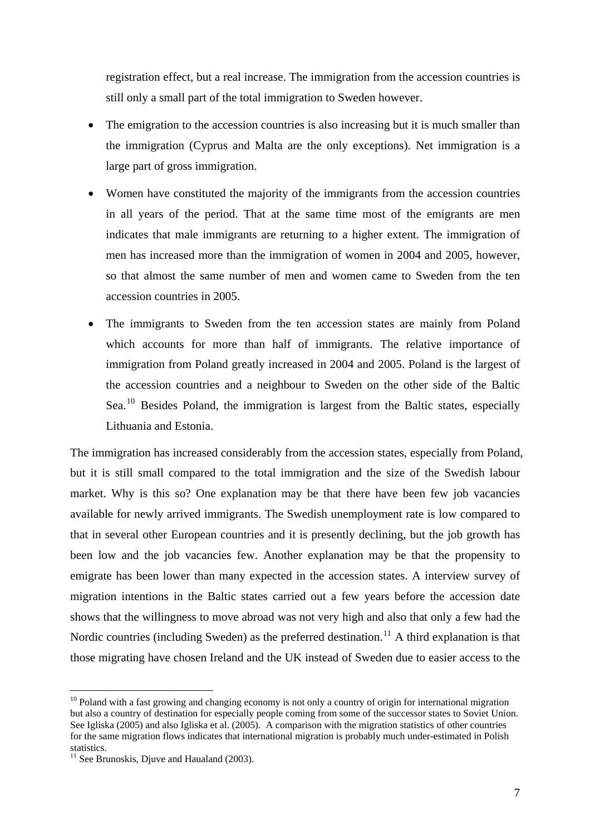registration effect, but a real increase. The immigration from the accession countries is still only a small part of the total immigration to Sweden however.

- The emigration to the accession countries is also increasing but it is much smaller than the immigration (Cyprus and Malta are the only exceptions). Net immigration is a large part of gross immigration.
- Women have constituted the majority of the immigrants from the accession countries in all years of the period. That at the same time most of the emigrants are men indicates that male immigrants are returning to a higher extent. The immigration of men has increased more than the immigration of women in 2004 and 2005, however, so that almost the same number of men and women came to Sweden from the ten accession countries in 2005.
- The immigrants to Sweden from the ten accession states are mainly from Poland which accounts for more than half of immigrants. The relative importance of immigration from Poland greatly increased in 2004 and 2005. Poland is the largest of the accession countries and a neighbour to Sweden on the other side of the Baltic Sea.<sup>[10](#page-6-0)</sup> Besides Poland, the immigration is largest from the Baltic states, especially Lithuania and Estonia.

The immigration has increased considerably from the accession states, especially from Poland, but it is still small compared to the total immigration and the size of the Swedish labour market. Why is this so? One explanation may be that there have been few job vacancies available for newly arrived immigrants. The Swedish unemployment rate is low compared to that in several other European countries and it is presently declining, but the job growth has been low and the job vacancies few. Another explanation may be that the propensity to emigrate has been lower than many expected in the accession states. A interview survey of migration intentions in the Baltic states carried out a few years before the accession date shows that the willingness to move abroad was not very high and also that only a few had the Nordic countries (including Sweden) as the preferred destination.<sup>[11](#page-6-1)</sup> A third explanation is that those migrating have chosen Ireland and the UK instead of Sweden due to easier access to the

<span id="page-6-0"></span><sup>&</sup>lt;sup>10</sup> Poland with a fast growing and changing economy is not only a country of origin for international migration but also a country of destination for especially people coming from some of the successor states to Soviet Union. See Igliska (2005) and also Igliska et al. (2005). A comparison with the migration statistics of other countries for the same migration flows indicates that international migration is probably much under-estimated in Polish statistics.

<span id="page-6-1"></span> $11$  See Brunoskis, Djuve and Haualand (2003).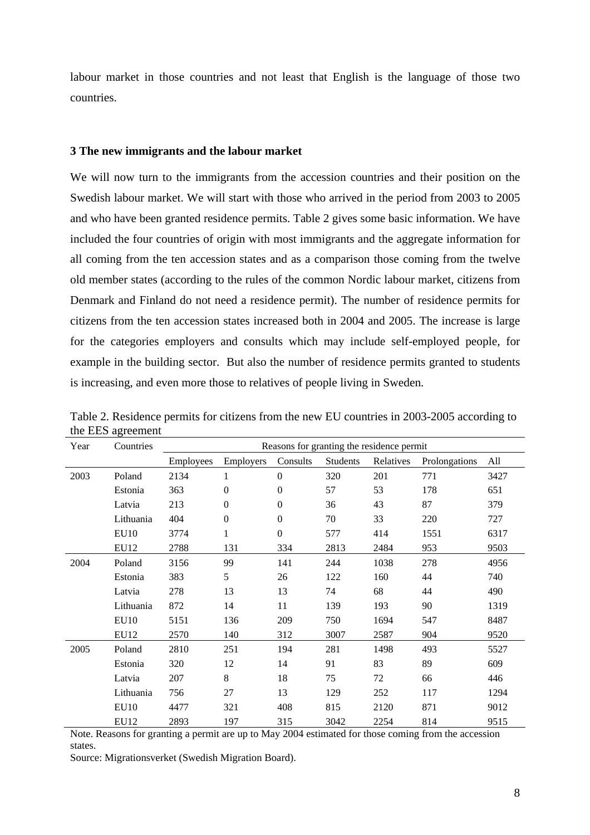labour market in those countries and not least that English is the language of those two countries.

#### **3 The new immigrants and the labour market**

We will now turn to the immigrants from the accession countries and their position on the Swedish labour market. We will start with those who arrived in the period from 2003 to 2005 and who have been granted residence permits. Table 2 gives some basic information. We have included the four countries of origin with most immigrants and the aggregate information for all coming from the ten accession states and as a comparison those coming from the twelve old member states (according to the rules of the common Nordic labour market, citizens from Denmark and Finland do not need a residence permit). The number of residence permits for citizens from the ten accession states increased both in 2004 and 2005. The increase is large for the categories employers and consults which may include self-employed people, for example in the building sector. But also the number of residence permits granted to students is increasing, and even more those to relatives of people living in Sweden.

| Year | Countries        | Reasons for granting the residence permit |                  |                  |          |           |               |      |  |  |
|------|------------------|-------------------------------------------|------------------|------------------|----------|-----------|---------------|------|--|--|
|      |                  | Employees                                 | Employers        | Consults         | Students | Relatives | Prolongations | All  |  |  |
| 2003 | Poland           | 2134                                      | 1                | $\mathbf{0}$     | 320      | 201       | 771           | 3427 |  |  |
|      | Estonia          | 363                                       | $\boldsymbol{0}$ | $\theta$         | 57       | 53        | 178           | 651  |  |  |
|      | Latvia           | 213                                       | $\boldsymbol{0}$ | $\Omega$         | 36       | 43        | 87            | 379  |  |  |
|      | Lithuania        | 404                                       | $\boldsymbol{0}$ | $\Omega$         | 70       | 33        | 220           | 727  |  |  |
|      | <b>EU10</b>      | 3774                                      | 1                | $\boldsymbol{0}$ | 577      | 414       | 1551          | 6317 |  |  |
|      | EU12             | 2788                                      | 131              | 334              | 2813     | 2484      | 953           | 9503 |  |  |
| 2004 | Poland           | 3156                                      | 99               | 141              | 244      | 1038      | 278           | 4956 |  |  |
|      | Estonia          | 383                                       | 5                | 26               | 122      | 160       | 44            | 740  |  |  |
|      | Latvia           | 278                                       | 13               | 13               | 74       | 68        | 44            | 490  |  |  |
|      | Lithuania        | 872                                       | 14               | 11               | 139      | 193       | 90            | 1319 |  |  |
|      | <b>EU10</b>      | 5151                                      | 136              | 209              | 750      | 1694      | 547           | 8487 |  |  |
|      | EU12             | 2570                                      | 140              | 312              | 3007     | 2587      | 904           | 9520 |  |  |
| 2005 | Poland           | 2810                                      | 251              | 194              | 281      | 1498      | 493           | 5527 |  |  |
|      | Estonia          | 320                                       | 12               | 14               | 91       | 83        | 89            | 609  |  |  |
|      | Latvia           | 207                                       | 8                | 18               | 75       | 72        | 66            | 446  |  |  |
|      | Lithuania        | 756                                       | 27               | 13               | 129      | 252       | 117           | 1294 |  |  |
|      | EU <sub>10</sub> | 4477                                      | 321              | 408              | 815      | 2120      | 871           | 9012 |  |  |
|      | EU12             | 2893                                      | 197              | 315              | 3042     | 2254      | 814           | 9515 |  |  |

Table 2. Residence permits for citizens from the new EU countries in 2003-2005 according to the EES agreement

Note. Reasons for granting a permit are up to May 2004 estimated for those coming from the accession states.

Source: Migrationsverket (Swedish Migration Board).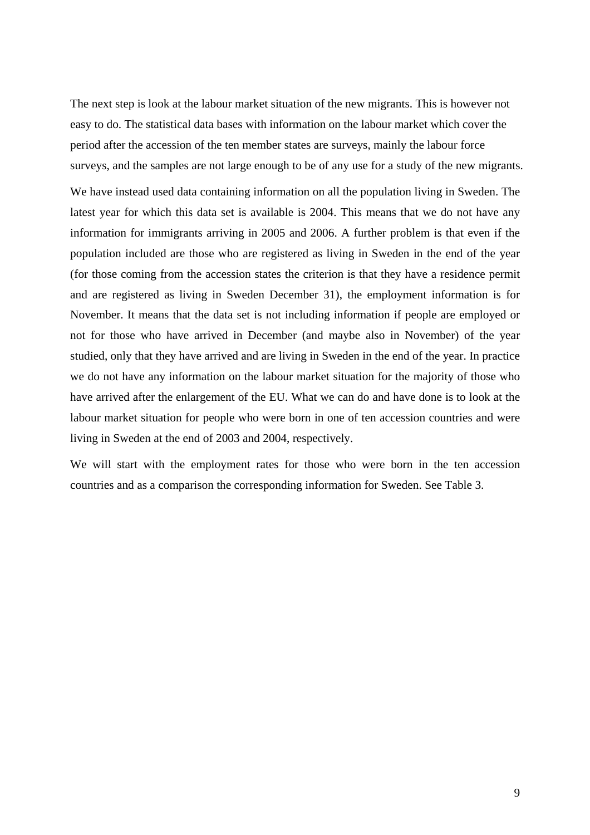The next step is look at the labour market situation of the new migrants. This is however not easy to do. The statistical data bases with information on the labour market which cover the period after the accession of the ten member states are surveys, mainly the labour force surveys, and the samples are not large enough to be of any use for a study of the new migrants.

We have instead used data containing information on all the population living in Sweden. The latest year for which this data set is available is 2004. This means that we do not have any information for immigrants arriving in 2005 and 2006. A further problem is that even if the population included are those who are registered as living in Sweden in the end of the year (for those coming from the accession states the criterion is that they have a residence permit and are registered as living in Sweden December 31), the employment information is for November. It means that the data set is not including information if people are employed or not for those who have arrived in December (and maybe also in November) of the year studied, only that they have arrived and are living in Sweden in the end of the year. In practice we do not have any information on the labour market situation for the majority of those who have arrived after the enlargement of the EU. What we can do and have done is to look at the labour market situation for people who were born in one of ten accession countries and were living in Sweden at the end of 2003 and 2004, respectively.

We will start with the employment rates for those who were born in the ten accession countries and as a comparison the corresponding information for Sweden. See Table 3.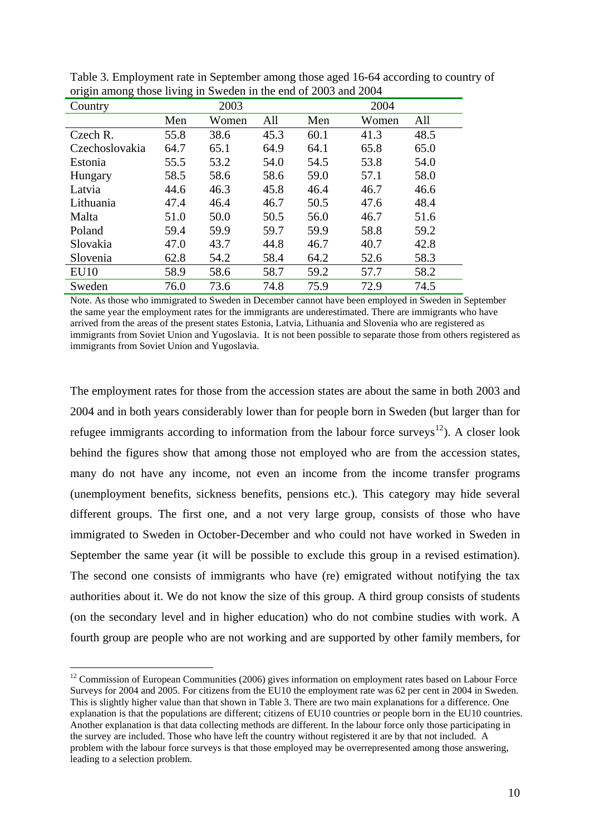| 0<br>○<br>Country | ာ    | 2003  |      |      | 2004  |      |
|-------------------|------|-------|------|------|-------|------|
|                   | Men  | Women | All  | Men  | Women | All  |
| Czech R.          | 55.8 | 38.6  | 45.3 | 60.1 | 41.3  | 48.5 |
| Czechoslovakia    | 64.7 | 65.1  | 64.9 | 64.1 | 65.8  | 65.0 |
| Estonia           | 55.5 | 53.2  | 54.0 | 54.5 | 53.8  | 54.0 |
| Hungary           | 58.5 | 58.6  | 58.6 | 59.0 | 57.1  | 58.0 |
| Latvia            | 44.6 | 46.3  | 45.8 | 46.4 | 46.7  | 46.6 |
| Lithuania         | 47.4 | 46.4  | 46.7 | 50.5 | 47.6  | 48.4 |
| Malta             | 51.0 | 50.0  | 50.5 | 56.0 | 46.7  | 51.6 |
| Poland            | 59.4 | 59.9  | 59.7 | 59.9 | 58.8  | 59.2 |
| Slovakia          | 47.0 | 43.7  | 44.8 | 46.7 | 40.7  | 42.8 |
| Slovenia          | 62.8 | 54.2  | 58.4 | 64.2 | 52.6  | 58.3 |
| EU10              | 58.9 | 58.6  | 58.7 | 59.2 | 57.7  | 58.2 |
| Sweden            | 76.0 | 73.6  | 74.8 | 75.9 | 72.9  | 74.5 |

Table 3. Employment rate in September among those aged 16-64 according to country of origin among those living in Sweden in the end of 2003 and 2004

Note. As those who immigrated to Sweden in December cannot have been employed in Sweden in September the same year the employment rates for the immigrants are underestimated. There are immigrants who have arrived from the areas of the present states Estonia, Latvia, Lithuania and Slovenia who are registered as immigrants from Soviet Union and Yugoslavia. It is not been possible to separate those from others registered as immigrants from Soviet Union and Yugoslavia.

The employment rates for those from the accession states are about the same in both 2003 and 2004 and in both years considerably lower than for people born in Sweden (but larger than for refugee immigrants according to information from the labour force surveys<sup>[12](#page-9-0)</sup>). A closer look behind the figures show that among those not employed who are from the accession states, many do not have any income, not even an income from the income transfer programs (unemployment benefits, sickness benefits, pensions etc.). This category may hide several different groups. The first one, and a not very large group, consists of those who have immigrated to Sweden in October-December and who could not have worked in Sweden in September the same year (it will be possible to exclude this group in a revised estimation). The second one consists of immigrants who have (re) emigrated without notifying the tax authorities about it. We do not know the size of this group. A third group consists of students (on the secondary level and in higher education) who do not combine studies with work. A fourth group are people who are not working and are supported by other family members, for

<span id="page-9-0"></span> $12$  Commission of European Communities (2006) gives information on employment rates based on Labour Force Surveys for 2004 and 2005. For citizens from the EU10 the employment rate was 62 per cent in 2004 in Sweden. This is slightly higher value than that shown in Table 3. There are two main explanations for a difference. One explanation is that the populations are different; citizens of EU10 countries or people born in the EU10 countries. Another explanation is that data collecting methods are different. In the labour force only those participating in the survey are included. Those who have left the country without registered it are by that not included. A problem with the labour force surveys is that those employed may be overrepresented among those answering, leading to a selection problem.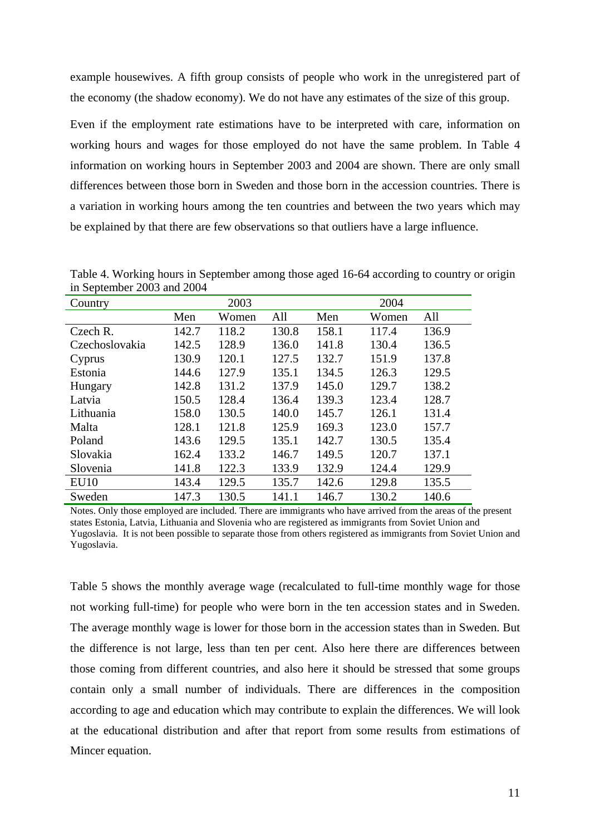example housewives. A fifth group consists of people who work in the unregistered part of the economy (the shadow economy). We do not have any estimates of the size of this group.

Even if the employment rate estimations have to be interpreted with care, information on working hours and wages for those employed do not have the same problem. In Table 4 information on working hours in September 2003 and 2004 are shown. There are only small differences between those born in Sweden and those born in the accession countries. There is a variation in working hours among the ten countries and between the two years which may be explained by that there are few observations so that outliers have a large influence.

| Table 4. Working hours in September among those aged 16-64 according to country or origin |  |  |
|-------------------------------------------------------------------------------------------|--|--|
| in September 2003 and 2004                                                                |  |  |

| Country        | 2003  |       |       | 2004  |       |       |  |
|----------------|-------|-------|-------|-------|-------|-------|--|
|                | Men   | Women | All   | Men   | Women | All   |  |
| Czech R.       | 142.7 | 118.2 | 130.8 | 158.1 | 117.4 | 136.9 |  |
| Czechoslovakia | 142.5 | 128.9 | 136.0 | 141.8 | 130.4 | 136.5 |  |
| Cyprus         | 130.9 | 120.1 | 127.5 | 132.7 | 151.9 | 137.8 |  |
| Estonia        | 144.6 | 127.9 | 135.1 | 134.5 | 126.3 | 129.5 |  |
| Hungary        | 142.8 | 131.2 | 137.9 | 145.0 | 129.7 | 138.2 |  |
| Latvia         | 150.5 | 128.4 | 136.4 | 139.3 | 123.4 | 128.7 |  |
| Lithuania      | 158.0 | 130.5 | 140.0 | 145.7 | 126.1 | 131.4 |  |
| Malta          | 128.1 | 121.8 | 125.9 | 169.3 | 123.0 | 157.7 |  |
| Poland         | 143.6 | 129.5 | 135.1 | 142.7 | 130.5 | 135.4 |  |
| Slovakia       | 162.4 | 133.2 | 146.7 | 149.5 | 120.7 | 137.1 |  |
| Slovenia       | 141.8 | 122.3 | 133.9 | 132.9 | 124.4 | 129.9 |  |
| <b>EU10</b>    | 143.4 | 129.5 | 135.7 | 142.6 | 129.8 | 135.5 |  |
| Sweden         | 147.3 | 130.5 | 141.1 | 146.7 | 130.2 | 140.6 |  |

Notes. Only those employed are included. There are immigrants who have arrived from the areas of the present states Estonia, Latvia, Lithuania and Slovenia who are registered as immigrants from Soviet Union and Yugoslavia. It is not been possible to separate those from others registered as immigrants from Soviet Union and Yugoslavia.

Table 5 shows the monthly average wage (recalculated to full-time monthly wage for those not working full-time) for people who were born in the ten accession states and in Sweden. The average monthly wage is lower for those born in the accession states than in Sweden. But the difference is not large, less than ten per cent. Also here there are differences between those coming from different countries, and also here it should be stressed that some groups contain only a small number of individuals. There are differences in the composition according to age and education which may contribute to explain the differences. We will look at the educational distribution and after that report from some results from estimations of Mincer equation.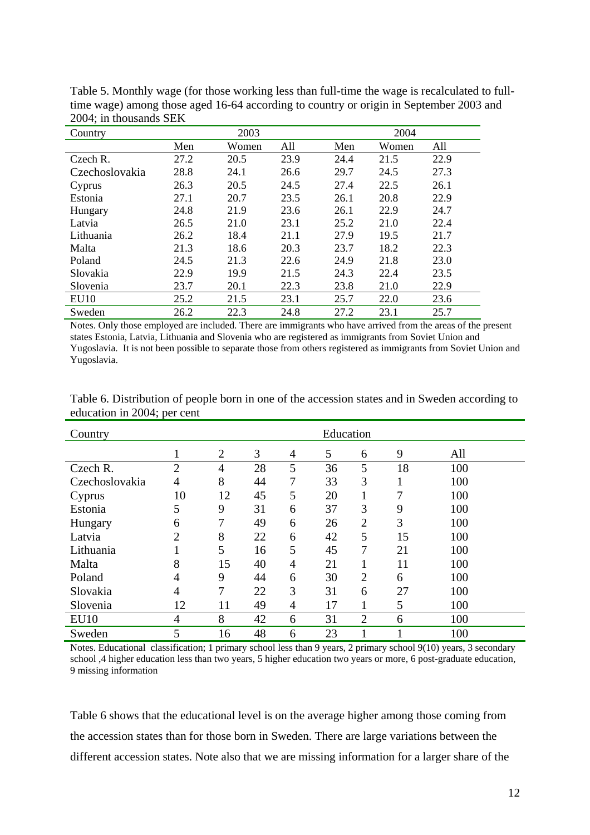| Country          |      | 2003  |      | 2004 |       |      |  |
|------------------|------|-------|------|------|-------|------|--|
|                  | Men  | Women | All  | Men  | Women | All  |  |
| Czech R.         | 27.2 | 20.5  | 23.9 | 24.4 | 21.5  | 22.9 |  |
| Czechoslovakia   | 28.8 | 24.1  | 26.6 | 29.7 | 24.5  | 27.3 |  |
| Cyprus           | 26.3 | 20.5  | 24.5 | 27.4 | 22.5  | 26.1 |  |
| Estonia          | 27.1 | 20.7  | 23.5 | 26.1 | 20.8  | 22.9 |  |
| Hungary          | 24.8 | 21.9  | 23.6 | 26.1 | 22.9  | 24.7 |  |
| Latvia           | 26.5 | 21.0  | 23.1 | 25.2 | 21.0  | 22.4 |  |
| Lithuania        | 26.2 | 18.4  | 21.1 | 27.9 | 19.5  | 21.7 |  |
| Malta            | 21.3 | 18.6  | 20.3 | 23.7 | 18.2  | 22.3 |  |
| Poland           | 24.5 | 21.3  | 22.6 | 24.9 | 21.8  | 23.0 |  |
| Slovakia         | 22.9 | 19.9  | 21.5 | 24.3 | 22.4  | 23.5 |  |
| Slovenia         | 23.7 | 20.1  | 22.3 | 23.8 | 21.0  | 22.9 |  |
| EU <sub>10</sub> | 25.2 | 21.5  | 23.1 | 25.7 | 22.0  | 23.6 |  |
| Sweden           | 26.2 | 22.3  | 24.8 | 27.2 | 23.1  | 25.7 |  |

Table 5. Monthly wage (for those working less than full-time the wage is recalculated to fulltime wage) among those aged 16-64 according to country or origin in September 2003 and 2004; in thousands SEK

Notes. Only those employed are included. There are immigrants who have arrived from the areas of the present states Estonia, Latvia, Lithuania and Slovenia who are registered as immigrants from Soviet Union and Yugoslavia. It is not been possible to separate those from others registered as immigrants from Soviet Union and Yugoslavia.

| Country        | Education      |                |    |   |    |                |    |     |  |  |
|----------------|----------------|----------------|----|---|----|----------------|----|-----|--|--|
|                | 1              | $\overline{2}$ | 3  | 4 | 5  | 6              | 9  | All |  |  |
| Czech R.       | $\overline{2}$ | 4              | 28 | 5 | 36 | 5              | 18 | 100 |  |  |
| Czechoslovakia | 4              | 8              | 44 | 7 | 33 | 3              | -1 | 100 |  |  |
| Cyprus         | 10             | 12             | 45 | 5 | 20 |                | 7  | 100 |  |  |
| Estonia        | 5              | 9              | 31 | 6 | 37 | 3              | 9  | 100 |  |  |
| Hungary        | 6              | 7              | 49 | 6 | 26 | $\overline{2}$ | 3  | 100 |  |  |
| Latvia         | $\overline{2}$ | 8              | 22 | 6 | 42 | 5              | 15 | 100 |  |  |
| Lithuania      |                | 5              | 16 | 5 | 45 | 7              | 21 | 100 |  |  |
| Malta          | 8              | 15             | 40 | 4 | 21 |                | 11 | 100 |  |  |
| Poland         | 4              | 9              | 44 | 6 | 30 | $\overline{2}$ | 6  | 100 |  |  |
| Slovakia       | 4              | 7              | 22 | 3 | 31 | 6              | 27 | 100 |  |  |
| Slovenia       | 12             | 11             | 49 | 4 | 17 |                | 5  | 100 |  |  |
| <b>EU10</b>    | 4              | 8              | 42 | 6 | 31 | $\overline{2}$ | 6  | 100 |  |  |
| Sweden         | 5              | 16             | 48 | 6 | 23 |                |    | 100 |  |  |

Table 6. Distribution of people born in one of the accession states and in Sweden according to education in 2004; per cent

Notes. Educational classification; 1 primary school less than 9 years, 2 primary school 9(10) years, 3 secondary school ,4 higher education less than two years, 5 higher education two years or more, 6 post-graduate education, 9 missing information

Table 6 shows that the educational level is on the average higher among those coming from the accession states than for those born in Sweden. There are large variations between the different accession states. Note also that we are missing information for a larger share of the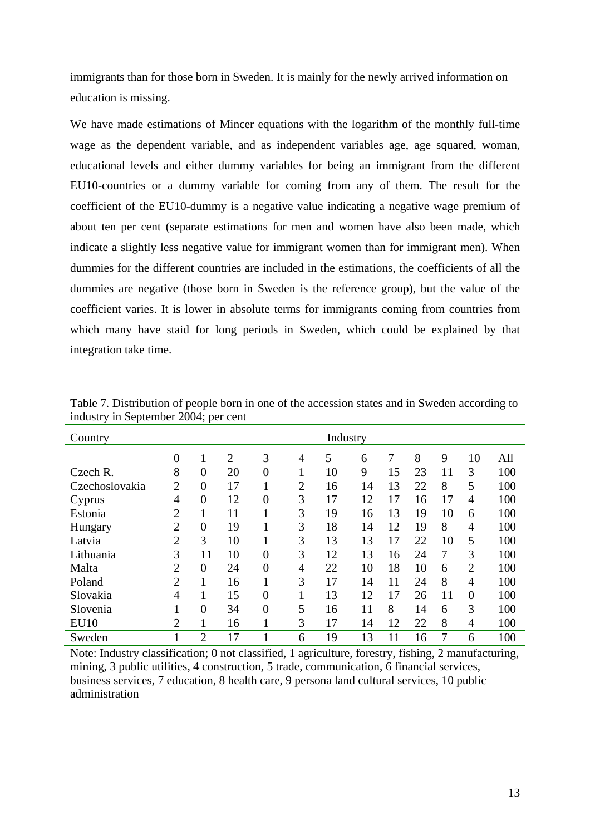immigrants than for those born in Sweden. It is mainly for the newly arrived information on education is missing.

We have made estimations of Mincer equations with the logarithm of the monthly full-time wage as the dependent variable, and as independent variables age, age squared, woman, educational levels and either dummy variables for being an immigrant from the different EU10-countries or a dummy variable for coming from any of them. The result for the coefficient of the EU10-dummy is a negative value indicating a negative wage premium of about ten per cent (separate estimations for men and women have also been made, which indicate a slightly less negative value for immigrant women than for immigrant men). When dummies for the different countries are included in the estimations, the coefficients of all the dummies are negative (those born in Sweden is the reference group), but the value of the coefficient varies. It is lower in absolute terms for immigrants coming from countries from which many have staid for long periods in Sweden, which could be explained by that integration take time.

| Country        |                  |                |                |                  |   | Industry |    |    |    |    |                |     |
|----------------|------------------|----------------|----------------|------------------|---|----------|----|----|----|----|----------------|-----|
|                | $\boldsymbol{0}$ | 1              | $\overline{2}$ | 3                | 4 | 5        | 6  |    | 8  | 9  | 10             | All |
| Czech R.       | 8                | $\overline{0}$ | 20             | $\boldsymbol{0}$ | 1 | 10       | 9  | 15 | 23 | 11 | 3              | 100 |
| Czechoslovakia | $\overline{2}$   | $\overline{0}$ | 17             | 1                | 2 | 16       | 14 | 13 | 22 | 8  | 5              | 100 |
| Cyprus         | 4                | $\overline{0}$ | 12             | $\overline{0}$   | 3 | 17       | 12 | 17 | 16 | 17 | $\overline{4}$ | 100 |
| Estonia        | $\overline{2}$   | 1              | 11             |                  | 3 | 19       | 16 | 13 | 19 | 10 | 6              | 100 |
| Hungary        | $\overline{2}$   | $\overline{0}$ | 19             |                  | 3 | 18       | 14 | 12 | 19 | 8  | 4              | 100 |
| Latvia         | $\overline{2}$   | 3              | 10             | 1<br>-1          | 3 | 13       | 13 | 17 | 22 | 10 | 5              | 100 |
| Lithuania      | 3                | 11             | 10             | $\overline{0}$   | 3 | 12       | 13 | 16 | 24 | 7  | 3              | 100 |
| Malta          | $\overline{2}$   | $\overline{0}$ | 24             | $\overline{0}$   | 4 | 22       | 10 | 18 | 10 | 6  | $\overline{2}$ | 100 |
| Poland         | $\overline{2}$   | 1              | 16             | 1                | 3 | 17       | 14 | 11 | 24 | 8  | $\overline{4}$ | 100 |
| Slovakia       | $\overline{4}$   | 1              | 15             | $\overline{0}$   |   | 13       | 12 | 17 | 26 | 11 | $\theta$       | 100 |
| Slovenia       |                  | $\overline{0}$ | 34             | $\overline{0}$   | 5 | 16       | 11 | 8  | 14 | 6  | 3              | 100 |
| <b>EU10</b>    | $\overline{2}$   | 1              | 16             | 1                | 3 | 17       | 14 | 12 | 22 | 8  | 4              | 100 |
| Sweden         |                  | $\overline{2}$ | 17             |                  | 6 | 19       | 13 | 11 | 16 | 7  | 6              | 100 |

Table 7. Distribution of people born in one of the accession states and in Sweden according to industry in September 2004; per cent

Note: Industry classification; 0 not classified, 1 agriculture, forestry, fishing, 2 manufacturing, mining, 3 public utilities, 4 construction, 5 trade, communication, 6 financial services, business services, 7 education, 8 health care, 9 persona land cultural services, 10 public administration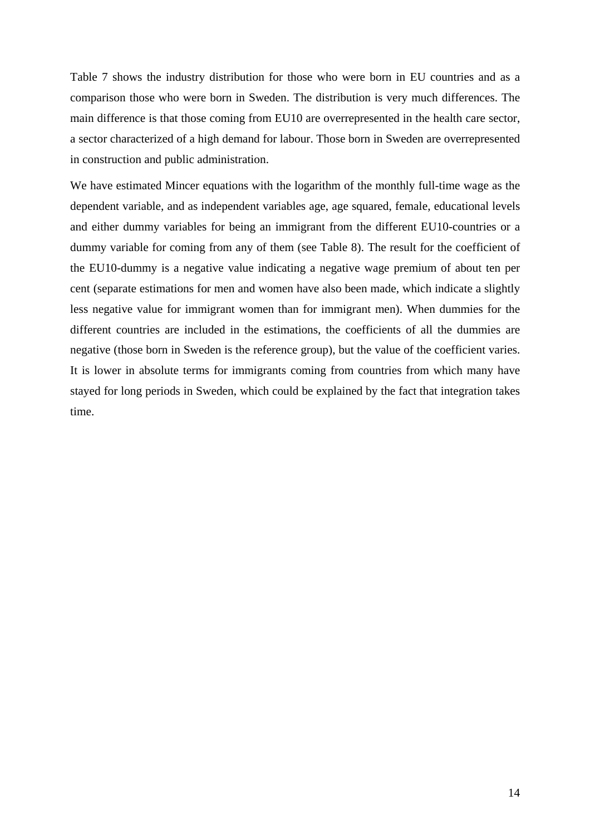Table 7 shows the industry distribution for those who were born in EU countries and as a comparison those who were born in Sweden. The distribution is very much differences. The main difference is that those coming from EU10 are overrepresented in the health care sector, a sector characterized of a high demand for labour. Those born in Sweden are overrepresented in construction and public administration.

We have estimated Mincer equations with the logarithm of the monthly full-time wage as the dependent variable, and as independent variables age, age squared, female, educational levels and either dummy variables for being an immigrant from the different EU10-countries or a dummy variable for coming from any of them (see Table 8). The result for the coefficient of the EU10-dummy is a negative value indicating a negative wage premium of about ten per cent (separate estimations for men and women have also been made, which indicate a slightly less negative value for immigrant women than for immigrant men). When dummies for the different countries are included in the estimations, the coefficients of all the dummies are negative (those born in Sweden is the reference group), but the value of the coefficient varies. It is lower in absolute terms for immigrants coming from countries from which many have stayed for long periods in Sweden, which could be explained by the fact that integration takes time.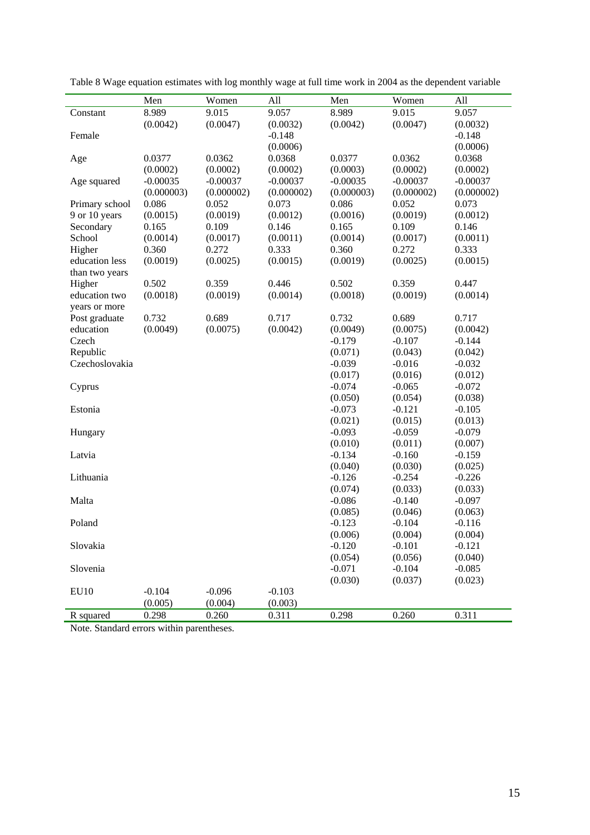|                  | Men        | Women      | All        | Men                 | Women               | All                 |
|------------------|------------|------------|------------|---------------------|---------------------|---------------------|
| Constant         | 8.989      | 9.015      | 9.057      | 8.989               | 9.015               | 9.057               |
|                  | (0.0042)   | (0.0047)   | (0.0032)   | (0.0042)            | (0.0047)            | (0.0032)            |
| Female           |            |            | $-0.148$   |                     |                     | $-0.148$            |
|                  |            |            | (0.0006)   |                     |                     | (0.0006)            |
| Age              | 0.0377     | 0.0362     | 0.0368     | 0.0377              | 0.0362              | 0.0368              |
|                  | (0.0002)   | (0.0002)   | (0.0002)   | (0.0003)            | (0.0002)            | (0.0002)            |
| Age squared      | $-0.00035$ | $-0.00037$ | $-0.00037$ | $-0.00035$          | $-0.00037$          | $-0.00037$          |
|                  | (0.000003) | (0.000002) | (0.000002) | (0.000003)          | (0.000002)          | (0.000002)          |
| Primary school   | 0.086      | 0.052      | 0.073      | 0.086               | 0.052               | 0.073               |
| 9 or 10 years    | (0.0015)   | (0.0019)   | (0.0012)   | (0.0016)            | (0.0019)            | (0.0012)            |
| Secondary        | 0.165      | 0.109      | 0.146      | 0.165               | 0.109               | 0.146               |
| School           | (0.0014)   | (0.0017)   | (0.0011)   | (0.0014)            | (0.0017)            | (0.0011)            |
| Higher           | 0.360      | 0.272      | 0.333      | 0.360               | 0.272               | 0.333               |
| education less   | (0.0019)   | (0.0025)   | (0.0015)   | (0.0019)            | (0.0025)            | (0.0015)            |
| than two years   |            |            |            |                     |                     |                     |
| Higher           | 0.502      | 0.359      | 0.446      | 0.502               | 0.359               | 0.447               |
| education two    | (0.0018)   | (0.0019)   | (0.0014)   | (0.0018)            | (0.0019)            | (0.0014)            |
| years or more    |            |            |            |                     |                     |                     |
| Post graduate    | 0.732      | 0.689      | 0.717      | 0.732               | 0.689               | 0.717               |
| education        | (0.0049)   | (0.0075)   | (0.0042)   | (0.0049)            | (0.0075)            | (0.0042)            |
| Czech            |            |            |            | $-0.179$            | $-0.107$            | $-0.144$            |
| Republic         |            |            |            | (0.071)             | (0.043)             | (0.042)             |
| Czechoslovakia   |            |            |            | $-0.039$            | $-0.016$            | $-0.032$            |
|                  |            |            |            | (0.017)             | (0.016)             | (0.012)             |
| Cyprus           |            |            |            | $-0.074$            | $-0.065$            | $-0.072$            |
|                  |            |            |            | (0.050)             | (0.054)             | (0.038)             |
| Estonia          |            |            |            | $-0.073$            | $-0.121$            | $-0.105$            |
|                  |            |            |            | (0.021)             | (0.015)             | (0.013)             |
| Hungary          |            |            |            | $-0.093$            | $-0.059$            | $-0.079$            |
|                  |            |            |            | (0.010)             | (0.011)             | (0.007)             |
| Latvia           |            |            |            | $-0.134$            | $-0.160$            | $-0.159$            |
|                  |            |            |            | (0.040)             | (0.030)             | (0.025)<br>$-0.226$ |
| Lithuania        |            |            |            | $-0.126$            | $-0.254$            |                     |
| Malta            |            |            |            | (0.074)<br>$-0.086$ | (0.033)<br>$-0.140$ | (0.033)<br>$-0.097$ |
|                  |            |            |            | (0.085)             | (0.046)             | (0.063)             |
| Poland           |            |            |            | $-0.123$            | $-0.104$            | $-0.116$            |
|                  |            |            |            | (0.006)             | (0.004)             | (0.004)             |
| Slovakia         |            |            |            | $-0.120$            | $-0.101$            | $-0.121$            |
|                  |            |            |            | (0.054)             | (0.056)             | (0.040)             |
| Slovenia         |            |            |            | $-0.071$            | $-0.104$            | $-0.085$            |
|                  |            |            |            | (0.030)             | (0.037)             | (0.023)             |
| EU <sub>10</sub> | $-0.104$   | $-0.096$   | $-0.103$   |                     |                     |                     |
|                  | (0.005)    | (0.004)    | (0.003)    |                     |                     |                     |
| R squared        | 0.298      | 0.260      | 0.311      | 0.298               | 0.260               | 0.311               |

Table 8 Wage equation estimates with log monthly wage at full time work in 2004 as the dependent variable

Note. Standard errors within parentheses.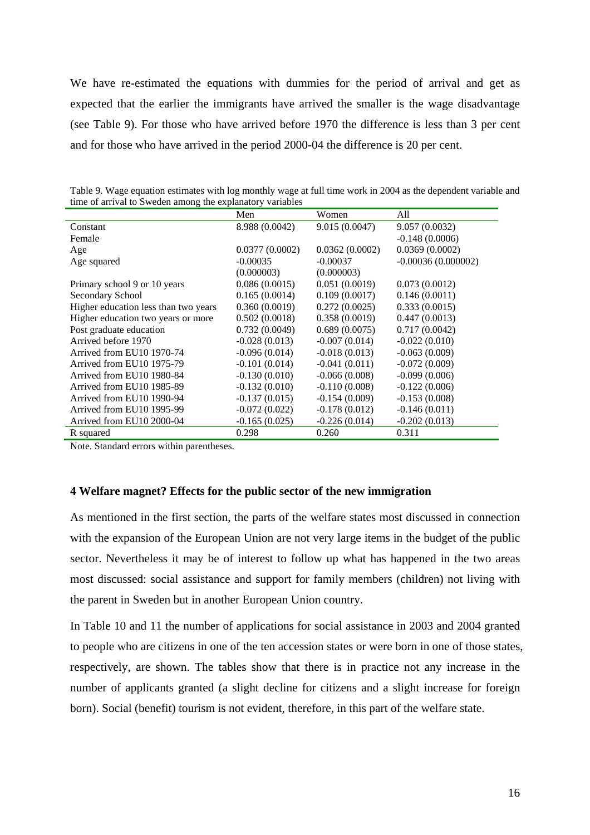We have re-estimated the equations with dummies for the period of arrival and get as expected that the earlier the immigrants have arrived the smaller is the wage disadvantage (see Table 9). For those who have arrived before 1970 the difference is less than 3 per cent and for those who have arrived in the period 2000-04 the difference is 20 per cent.

| three of arrival to B weden among the explanatory variables |                 |                 |                      |  |  |  |  |
|-------------------------------------------------------------|-----------------|-----------------|----------------------|--|--|--|--|
|                                                             | Men             | Women           | All                  |  |  |  |  |
| Constant                                                    | 8.988 (0.0042)  | 9.015 (0.0047)  | 9.057(0.0032)        |  |  |  |  |
| Female                                                      |                 |                 | $-0.148(0.0006)$     |  |  |  |  |
| Age                                                         | 0.0377(0.0002)  | 0.0362(0.0002)  | 0.0369(0.0002)       |  |  |  |  |
| Age squared                                                 | $-0.00035$      | $-0.00037$      | $-0.00036(0.000002)$ |  |  |  |  |
|                                                             | (0.000003)      | (0.000003)      |                      |  |  |  |  |
| Primary school 9 or 10 years                                | 0.086(0.0015)   | 0.051(0.0019)   | 0.073(0.0012)        |  |  |  |  |
| Secondary School                                            | 0.165(0.0014)   | 0.109(0.0017)   | 0.146(0.0011)        |  |  |  |  |
| Higher education less than two years                        | 0.360(0.0019)   | 0.272(0.0025)   | 0.333(0.0015)        |  |  |  |  |
| Higher education two years or more                          | 0.502(0.0018)   | 0.358(0.0019)   | 0.447(0.0013)        |  |  |  |  |
| Post graduate education                                     | 0.732(0.0049)   | 0.689(0.0075)   | 0.717(0.0042)        |  |  |  |  |
| Arrived before 1970                                         | $-0.028(0.013)$ | $-0.007(0.014)$ | $-0.022(0.010)$      |  |  |  |  |
| Arrived from EU10 1970-74                                   | $-0.096(0.014)$ | $-0.018(0.013)$ | $-0.063(0.009)$      |  |  |  |  |
| Arrived from EU10 1975-79                                   | $-0.101(0.014)$ | $-0.041(0.011)$ | $-0.072(0.009)$      |  |  |  |  |
| Arrived from EU10 1980-84                                   | $-0.130(0.010)$ | $-0.066(0.008)$ | $-0.099(0.006)$      |  |  |  |  |
| Arrived from EU10 1985-89                                   | $-0.132(0.010)$ | $-0.110(0.008)$ | $-0.122(0.006)$      |  |  |  |  |
| Arrived from EU10 1990-94                                   | $-0.137(0.015)$ | $-0.154(0.009)$ | $-0.153(0.008)$      |  |  |  |  |
| Arrived from EU10 1995-99                                   | $-0.072(0.022)$ | $-0.178(0.012)$ | $-0.146(0.011)$      |  |  |  |  |
| Arrived from EU10 2000-04                                   | $-0.165(0.025)$ | $-0.226(0.014)$ | $-0.202(0.013)$      |  |  |  |  |
| R squared                                                   | 0.298           | 0.260           | 0.311                |  |  |  |  |

Table 9. Wage equation estimates with log monthly wage at full time work in 2004 as the dependent variable and time of arrival to Sweden among the explanatory variables

Note. Standard errors within parentheses.

# **4 Welfare magnet? Effects for the public sector of the new immigration**

As mentioned in the first section, the parts of the welfare states most discussed in connection with the expansion of the European Union are not very large items in the budget of the public sector. Nevertheless it may be of interest to follow up what has happened in the two areas most discussed: social assistance and support for family members (children) not living with the parent in Sweden but in another European Union country.

In Table 10 and 11 the number of applications for social assistance in 2003 and 2004 granted to people who are citizens in one of the ten accession states or were born in one of those states, respectively, are shown. The tables show that there is in practice not any increase in the number of applicants granted (a slight decline for citizens and a slight increase for foreign born). Social (benefit) tourism is not evident, therefore, in this part of the welfare state.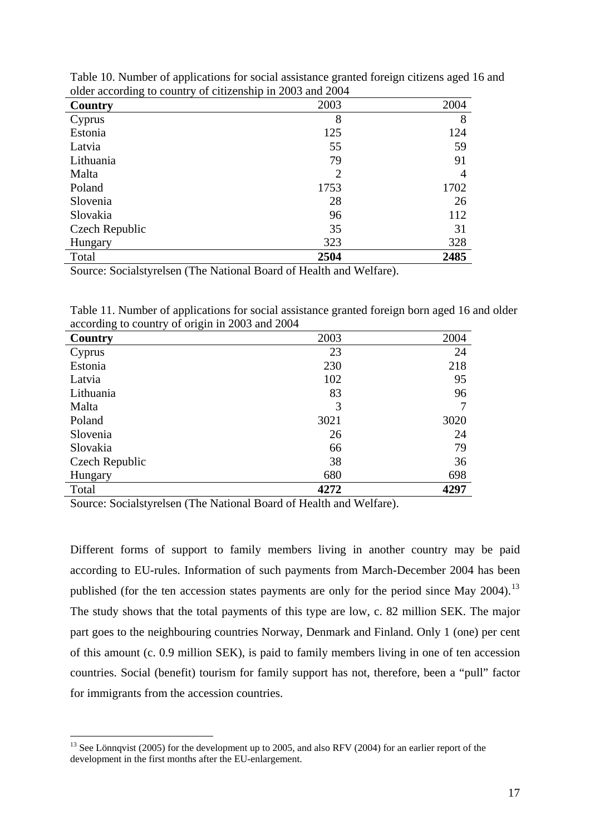| $\alpha$ according to country or characteristic in 2000 and 2001<br>Country | 2003           | 2004 |
|-----------------------------------------------------------------------------|----------------|------|
| Cyprus                                                                      | 8              | 8    |
| Estonia                                                                     | 125            | 124  |
| Latvia                                                                      | 55             | 59   |
| Lithuania                                                                   | 79             | 91   |
| Malta                                                                       | $\overline{2}$ | 4    |
| Poland                                                                      | 1753           | 1702 |
| Slovenia                                                                    | 28             | 26   |
| Slovakia                                                                    | 96             | 112  |
| Czech Republic                                                              | 35             | 31   |
| Hungary                                                                     | 323            | 328  |
| Total                                                                       | 2504           | 2485 |

Table 10. Number of applications for social assistance granted foreign citizens aged 16 and older according to country of citizenship in 2003 and 2004

Source: Socialstyrelsen (The National Board of Health and Welfare).

Table 11. Number of applications for social assistance granted foreign born aged 16 and older according to country of origin in 2003 and 2004

| ∘<br>っ<br>Country | 2003 | 2004 |
|-------------------|------|------|
| Cyprus            | 23   | 24   |
| Estonia           | 230  | 218  |
| Latvia            | 102  | 95   |
| Lithuania         | 83   | 96   |
| Malta             | 3    |      |
| Poland            | 3021 | 3020 |
| Slovenia          | 26   | 24   |
| Slovakia          | 66   | 79   |
| Czech Republic    | 38   | 36   |
| Hungary           | 680  | 698  |
| Total             | 4272 | 4297 |

Source: Socialstyrelsen (The National Board of Health and Welfare).

1

Different forms of support to family members living in another country may be paid according to EU-rules. Information of such payments from March-December 2004 has been published (for the ten accession states payments are only for the period since May 2004).<sup>[13](#page-16-0)</sup> The study shows that the total payments of this type are low, c. 82 million SEK. The major part goes to the neighbouring countries Norway, Denmark and Finland. Only 1 (one) per cent of this amount (c. 0.9 million SEK), is paid to family members living in one of ten accession countries. Social (benefit) tourism for family support has not, therefore, been a "pull" factor for immigrants from the accession countries.

<span id="page-16-0"></span><sup>&</sup>lt;sup>13</sup> See Lönnqvist (2005) for the development up to 2005, and also RFV (2004) for an earlier report of the development in the first months after the EU-enlargement.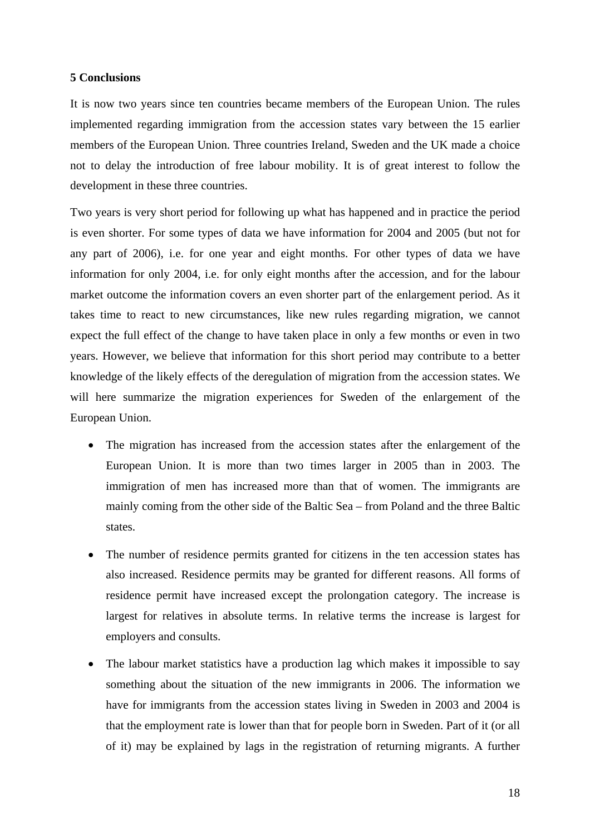## **5 Conclusions**

It is now two years since ten countries became members of the European Union. The rules implemented regarding immigration from the accession states vary between the 15 earlier members of the European Union. Three countries Ireland, Sweden and the UK made a choice not to delay the introduction of free labour mobility. It is of great interest to follow the development in these three countries.

Two years is very short period for following up what has happened and in practice the period is even shorter. For some types of data we have information for 2004 and 2005 (but not for any part of 2006), i.e. for one year and eight months. For other types of data we have information for only 2004, i.e. for only eight months after the accession, and for the labour market outcome the information covers an even shorter part of the enlargement period. As it takes time to react to new circumstances, like new rules regarding migration, we cannot expect the full effect of the change to have taken place in only a few months or even in two years. However, we believe that information for this short period may contribute to a better knowledge of the likely effects of the deregulation of migration from the accession states. We will here summarize the migration experiences for Sweden of the enlargement of the European Union.

- The migration has increased from the accession states after the enlargement of the European Union. It is more than two times larger in 2005 than in 2003. The immigration of men has increased more than that of women. The immigrants are mainly coming from the other side of the Baltic Sea – from Poland and the three Baltic states.
- The number of residence permits granted for citizens in the ten accession states has also increased. Residence permits may be granted for different reasons. All forms of residence permit have increased except the prolongation category. The increase is largest for relatives in absolute terms. In relative terms the increase is largest for employers and consults.
- The labour market statistics have a production lag which makes it impossible to say something about the situation of the new immigrants in 2006. The information we have for immigrants from the accession states living in Sweden in 2003 and 2004 is that the employment rate is lower than that for people born in Sweden. Part of it (or all of it) may be explained by lags in the registration of returning migrants. A further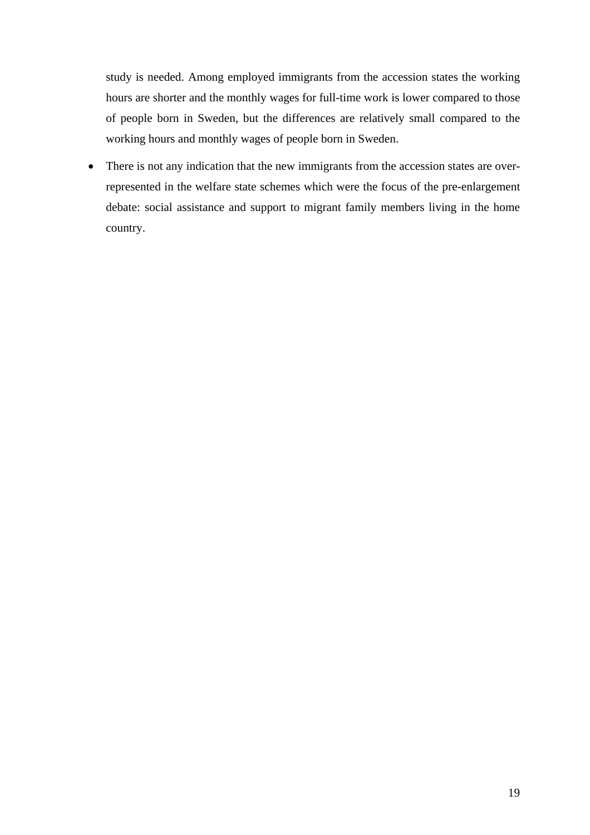study is needed. Among employed immigrants from the accession states the working hours are shorter and the monthly wages for full-time work is lower compared to those of people born in Sweden, but the differences are relatively small compared to the working hours and monthly wages of people born in Sweden.

• There is not any indication that the new immigrants from the accession states are overrepresented in the welfare state schemes which were the focus of the pre-enlargement debate: social assistance and support to migrant family members living in the home country.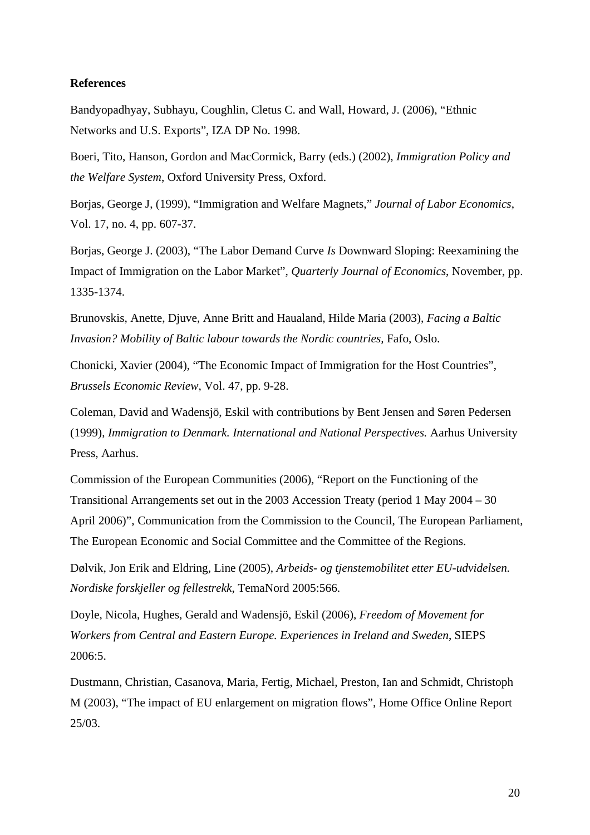## **References**

Bandyopadhyay, Subhayu, Coughlin, Cletus C. and Wall, Howard, J. (2006), "Ethnic Networks and U.S. Exports", IZA DP No. 1998.

Boeri, Tito, Hanson, Gordon and MacCormick, Barry (eds.) (2002), *Immigration Policy and the Welfare System*, Oxford University Press, Oxford.

Borjas, George J, (1999), "Immigration and Welfare Magnets," *Journal of Labor Economics*, Vol. 17, no. 4, pp. 607-37.

Borjas, George J. (2003), "The Labor Demand Curve *Is* Downward Sloping: Reexamining the Impact of Immigration on the Labor Market", *Quarterly Journal of Economics*, November, pp. 1335-1374.

Brunovskis, Anette, Djuve, Anne Britt and Haualand, Hilde Maria (2003), *Facing a Baltic Invasion? Mobility of Baltic labour towards the Nordic countries,* Fafo, Oslo.

Chonicki, Xavier (2004), "The Economic Impact of Immigration for the Host Countries", *Brussels Economic Review*, Vol. 47, pp. 9-28.

Coleman, David and Wadensjö, Eskil with contributions by Bent Jensen and Søren Pedersen (1999), *Immigration to Denmark. International and National Perspectives.* Aarhus University Press, Aarhus.

Commission of the European Communities (2006), "Report on the Functioning of the Transitional Arrangements set out in the 2003 Accession Treaty (period 1 May 2004 – 30 April 2006)", Communication from the Commission to the Council, The European Parliament, The European Economic and Social Committee and the Committee of the Regions.

Dølvik, Jon Erik and Eldring, Line (2005), *Arbeids- og tjenstemobilitet etter EU-udvidelsen. Nordiske forskjeller og fellestrekk*, TemaNord 2005:566.

Doyle, Nicola, Hughes, Gerald and Wadensjö, Eskil (2006), *Freedom of Movement for Workers from Central and Eastern Europe. Experiences in Ireland and Sweden*, SIEPS 2006:5.

Dustmann, Christian, Casanova, Maria, Fertig, Michael, Preston, Ian and Schmidt, Christoph M (2003), "The impact of EU enlargement on migration flows", Home Office Online Report 25/03.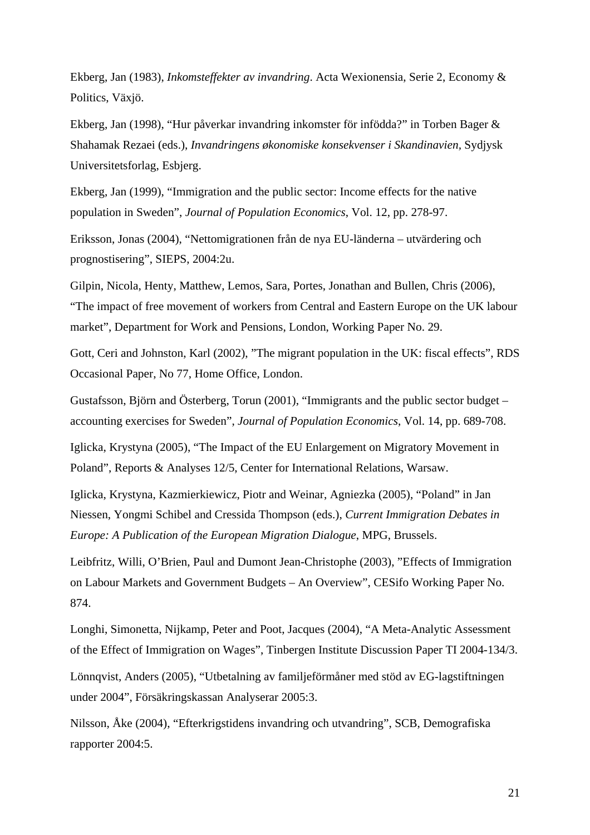Ekberg, Jan (1983), *Inkomsteffekter av invandring*. Acta Wexionensia, Serie 2, Economy & Politics, Växjö.

Ekberg, Jan (1998), "Hur påverkar invandring inkomster för infödda?" in Torben Bager & Shahamak Rezaei (eds.), *Invandringens økonomiske konsekvenser i Skandinavien,* Sydjysk Universitetsforlag, Esbjerg.

Ekberg, Jan (1999), "Immigration and the public sector: Income effects for the native population in Sweden", *Journal of Population Economics*, Vol. 12, pp. 278-97.

Eriksson, Jonas (2004), "Nettomigrationen från de nya EU-länderna – utvärdering och prognostisering", SIEPS, 2004:2u.

Gilpin, Nicola, Henty, Matthew, Lemos, Sara, Portes, Jonathan and Bullen, Chris (2006), "The impact of free movement of workers from Central and Eastern Europe on the UK labour market", Department for Work and Pensions, London, Working Paper No. 29.

Gott, Ceri and Johnston, Karl (2002), "The migrant population in the UK: fiscal effects", RDS Occasional Paper, No 77, Home Office, London.

Gustafsson, Björn and Österberg, Torun (2001), "Immigrants and the public sector budget – accounting exercises for Sweden", *Journal of Population Economics*, Vol. 14, pp. 689-708.

Iglicka, Krystyna (2005), "The Impact of the EU Enlargement on Migratory Movement in Poland", Reports & Analyses 12/5, Center for International Relations, Warsaw.

Iglicka, Krystyna, Kazmierkiewicz, Piotr and Weinar, Agniezka (2005), "Poland" in Jan Niessen, Yongmi Schibel and Cressida Thompson (eds.), *Current Immigration Debates in Europe: A Publication of the European Migration Dialogue*, MPG, Brussels.

Leibfritz, Willi, O'Brien, Paul and Dumont Jean-Christophe (2003), "Effects of Immigration on Labour Markets and Government Budgets – An Overview", CESifo Working Paper No. 874.

Longhi, Simonetta, Nijkamp, Peter and Poot, Jacques (2004), "A Meta-Analytic Assessment of the Effect of Immigration on Wages", Tinbergen Institute Discussion Paper TI 2004-134/3.

Lönnqvist, Anders (2005), "Utbetalning av familjeförmåner med stöd av EG-lagstiftningen under 2004", Försäkringskassan Analyserar 2005:3.

Nilsson, Åke (2004), "Efterkrigstidens invandring och utvandring", SCB, Demografiska rapporter 2004:5.